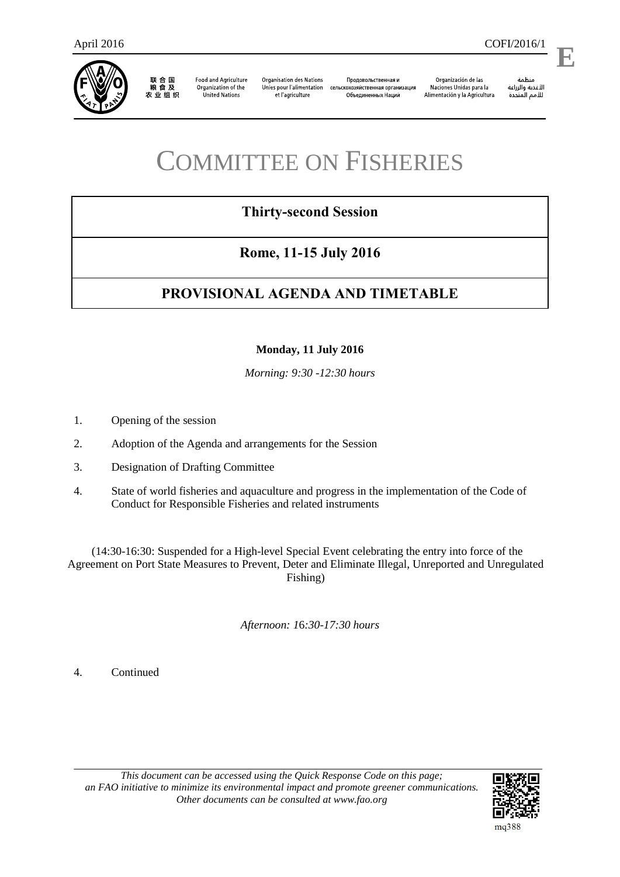

联合国<br>粮食及 农业组织

**Food and Agriculture** Organization of the United Nations

**Organisation des Nations** Unies pour l'alimentation et l'agriculture

Продовольственная и сельскохозяйственная организация Объединенных Наций

Organización de las Naciones Unidas para la Alimentación y la Agricultura

منظمة ستنس<br>الأغذية والزراعة<br>للأمم المتددة

l,

**E**

# COMMITTEE ON FISHERIES

# **Thirty-second Session**

# **Rome, 11-15 July 2016**

# **PROVISIONAL AGENDA AND TIMETABLE**

## **Monday, 11 July 2016**

*Morning: 9:30 -12:30 hours*

- 1. Opening of the session
- 2. Adoption of the Agenda and arrangements for the Session
- 3. Designation of Drafting Committee
- 4. State of world fisheries and aquaculture and progress in the implementation of the Code of Conduct for Responsible Fisheries and related instruments

(14:30-16:30: Suspended for a High-level Special Event celebrating the entry into force of the Agreement on Port State Measures to Prevent, Deter and Eliminate Illegal, Unreported and Unregulated Fishing)

*Afternoon: 1*6*:30-17:30 hours*

4. Continued

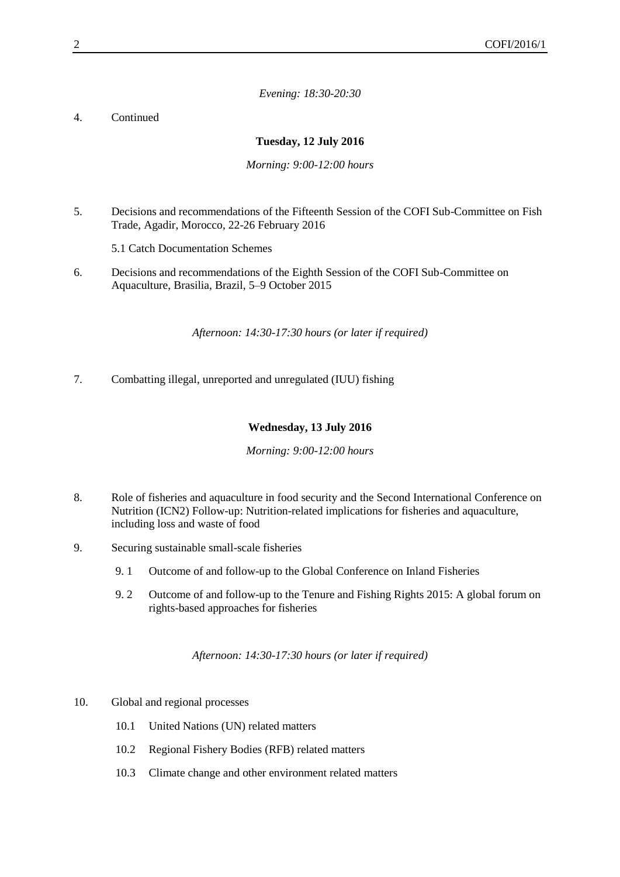*Evening: 18:30-20:30*

#### 4. Continued

#### **Tuesday, 12 July 2016**

*Morning: 9:00-12:00 hours*

5. Decisions and recommendations of the Fifteenth Session of the COFI Sub-Committee on Fish Trade, Agadir, Morocco, 22-26 February 2016

5.1 Catch Documentation Schemes

6. Decisions and recommendations of the Eighth Session of the COFI Sub-Committee on Aquaculture, Brasilia, Brazil, 5–9 October 2015

*Afternoon: 14:30-17:30 hours (or later if required)*

7. Combatting illegal, unreported and unregulated (IUU) fishing

#### **Wednesday, 13 July 2016**

*Morning: 9:00-12:00 hours*

- 8. Role of fisheries and aquaculture in food security and the Second International Conference on Nutrition (ICN2) Follow-up: Nutrition-related implications for fisheries and aquaculture, including loss and waste of food
- 9. Securing sustainable small-scale fisheries
	- 9. 1 Outcome of and follow-up to the Global Conference on Inland Fisheries
	- 9. 2 Outcome of and follow-up to the Tenure and Fishing Rights 2015: A global forum on rights-based approaches for fisheries

*Afternoon: 14:30-17:30 hours (or later if required)*

- 10. Global and regional processes
	- 10.1 United Nations (UN) related matters
	- 10.2 Regional Fishery Bodies (RFB) related matters
	- 10.3 Climate change and other environment related matters